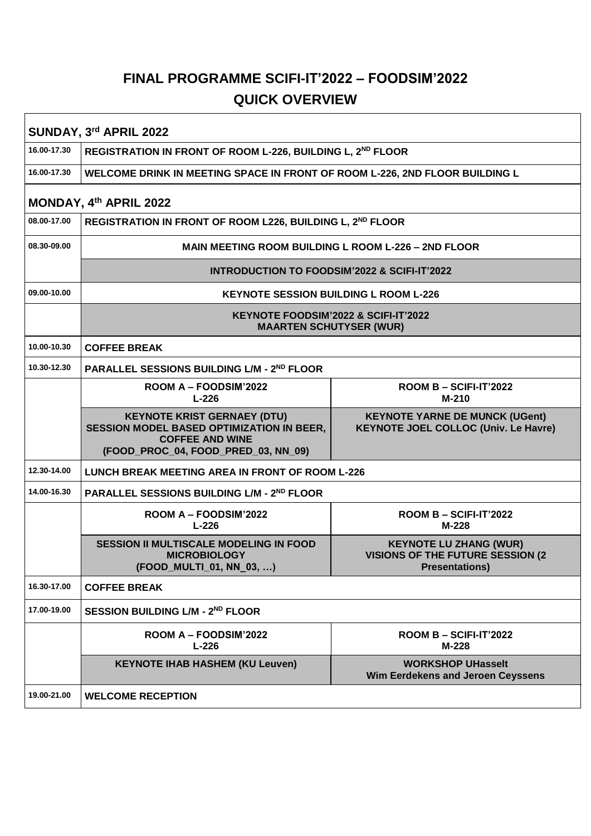## **FINAL PROGRAMME SCIFI-IT'2022 – FOODSIM'2022 QUICK OVERVIEW**

| SUNDAY, 3rd APRIL 2022 |                                                                                                                                                         |                                                                                                    |  |  |
|------------------------|---------------------------------------------------------------------------------------------------------------------------------------------------------|----------------------------------------------------------------------------------------------------|--|--|
| 16.00-17.30            | REGISTRATION IN FRONT OF ROOM L-226, BUILDING L, 2 <sup>ND</sup> FLOOR                                                                                  |                                                                                                    |  |  |
| 16.00-17.30            | WELCOME DRINK IN MEETING SPACE IN FRONT OF ROOM L-226, 2ND FLOOR BUILDING L                                                                             |                                                                                                    |  |  |
| MONDAY, 4th APRIL 2022 |                                                                                                                                                         |                                                                                                    |  |  |
| 08.00-17.00            | REGISTRATION IN FRONT OF ROOM L226, BUILDING L, 2 <sup>ND</sup> FLOOR                                                                                   |                                                                                                    |  |  |
| 08.30-09.00            | MAIN MEETING ROOM BUILDING L ROOM L-226 - 2ND FLOOR                                                                                                     |                                                                                                    |  |  |
|                        | <b>INTRODUCTION TO FOODSIM'2022 &amp; SCIFI-IT'2022</b>                                                                                                 |                                                                                                    |  |  |
| 09.00-10.00            | <b>KEYNOTE SESSION BUILDING L ROOM L-226</b>                                                                                                            |                                                                                                    |  |  |
|                        | KEYNOTE FOODSIM'2022 & SCIFI-IT'2022<br><b>MAARTEN SCHUTYSER (WUR)</b>                                                                                  |                                                                                                    |  |  |
| 10.00-10.30            | <b>COFFEE BREAK</b>                                                                                                                                     |                                                                                                    |  |  |
| 10.30-12.30            | <b>PARALLEL SESSIONS BUILDING L/M - 2ND FLOOR</b>                                                                                                       |                                                                                                    |  |  |
|                        | ROOM A - FOODSIM'2022<br>$L-226$                                                                                                                        | ROOM B - SCIFI-IT'2022<br>$M-210$                                                                  |  |  |
|                        | <b>KEYNOTE KRIST GERNAEY (DTU)</b><br><b>SESSION MODEL BASED OPTIMIZATION IN BEER,</b><br><b>COFFEE AND WINE</b><br>(FOOD_PROC_04, FOOD_PRED_03, NN_09) | <b>KEYNOTE YARNE DE MUNCK (UGent)</b><br><b>KEYNOTE JOEL COLLOC (Univ. Le Havre)</b>               |  |  |
| 12.30-14.00            | LUNCH BREAK MEETING AREA IN FRONT OF ROOM L-226                                                                                                         |                                                                                                    |  |  |
| 14.00-16.30            | PARALLEL SESSIONS BUILDING L/M - 2ND FLOOR                                                                                                              |                                                                                                    |  |  |
|                        | ROOM A - FOODSIM'2022<br>$L-226$                                                                                                                        | ROOM B - SCIFI-IT'2022<br>$M-228$                                                                  |  |  |
|                        | <b>SESSION II MULTISCALE MODELING IN FOOD</b><br><b>MICROBIOLOGY</b><br>(FOOD_MULTI_01, NN_03, )                                                        | <b>KEYNOTE LU ZHANG (WUR)</b><br><b>VISIONS OF THE FUTURE SESSION (2)</b><br><b>Presentations)</b> |  |  |
| 16.30-17.00            | <b>COFFEE BREAK</b>                                                                                                                                     |                                                                                                    |  |  |
| 17.00-19.00            | SESSION BUILDING L/M - 2ND FLOOR                                                                                                                        |                                                                                                    |  |  |
|                        | ROOM A - FOODSIM'2022<br>$L-226$                                                                                                                        | $ROOM B - SCIFI-IT'2022$<br>M-228                                                                  |  |  |
|                        | <b>KEYNOTE IHAB HASHEM (KU Leuven)</b>                                                                                                                  | <b>WORKSHOP UHasselt</b><br>Wim Eerdekens and Jeroen Ceyssens                                      |  |  |
| 19.00-21.00            | <b>WELCOME RECEPTION</b>                                                                                                                                |                                                                                                    |  |  |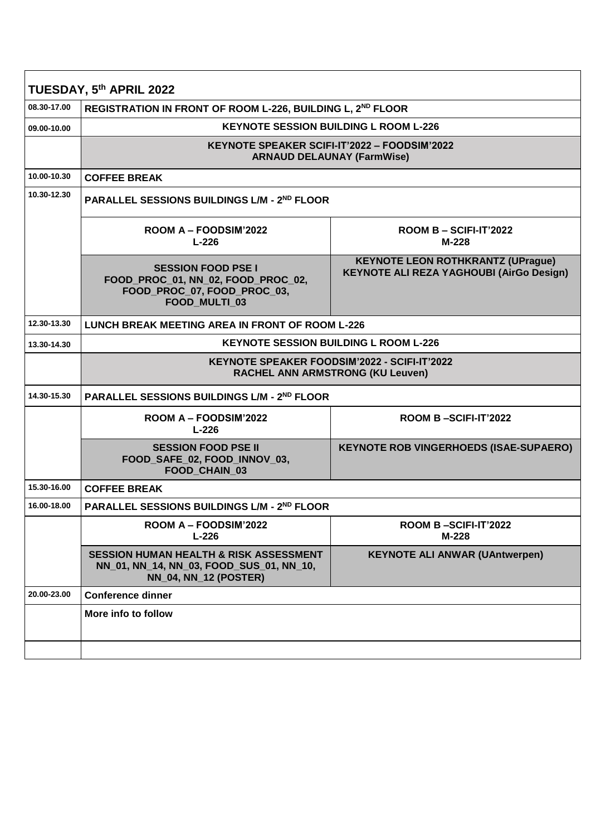| TUESDAY, 5th APRIL 2022 |                                                                                                                               |                                                                                                |  |
|-------------------------|-------------------------------------------------------------------------------------------------------------------------------|------------------------------------------------------------------------------------------------|--|
| 08.30-17.00             | REGISTRATION IN FRONT OF ROOM L-226, BUILDING L, 2 <sup>ND</sup> FLOOR                                                        |                                                                                                |  |
| 09.00-10.00             | <b>KEYNOTE SESSION BUILDING L ROOM L-226</b>                                                                                  |                                                                                                |  |
|                         |                                                                                                                               | KEYNOTE SPEAKER SCIFI-IT'2022 – FOODSIM'2022<br><b>ARNAUD DELAUNAY (FarmWise)</b>              |  |
| 10.00-10.30             | <b>COFFEE BREAK</b>                                                                                                           |                                                                                                |  |
| 10.30-12.30             | PARALLEL SESSIONS BUILDINGS L/M - 2ND FLOOR                                                                                   |                                                                                                |  |
|                         | ROOM A – FOODSIM'2022<br>$L-226$                                                                                              | ROOM B - SCIFI-IT'2022<br>M-228                                                                |  |
|                         | <b>SESSION FOOD PSE I</b><br>FOOD PROC 01, NN 02, FOOD PROC 02,<br>FOOD_PROC_07, FOOD_PROC_03,<br>FOOD_MULTI_03               | <b>KEYNOTE LEON ROTHKRANTZ (UPrague)</b><br><b>KEYNOTE ALI REZA YAGHOUBI (AirGo Design)</b>    |  |
| 12.30-13.30             | <b>LUNCH BREAK MEETING AREA IN FRONT OF ROOM L-226</b>                                                                        |                                                                                                |  |
| 13.30-14.30             | <b>KEYNOTE SESSION BUILDING L ROOM L-226</b>                                                                                  |                                                                                                |  |
|                         |                                                                                                                               | <b>KEYNOTE SPEAKER FOODSIM'2022 - SCIFI-IT'2022</b><br><b>RACHEL ANN ARMSTRONG (KU Leuven)</b> |  |
| 14.30-15.30             | <b>PARALLEL SESSIONS BUILDINGS L/M - 2ND FLOOR</b>                                                                            |                                                                                                |  |
|                         | ROOM A - FOODSIM'2022<br>$L-226$                                                                                              | ROOM B-SCIFI-IT'2022                                                                           |  |
|                         | <b>SESSION FOOD PSE II</b><br>FOOD_SAFE_02, FOOD_INNOV_03,<br>FOOD_CHAIN_03                                                   | <b>KEYNOTE ROB VINGERHOEDS (ISAE-SUPAERO)</b>                                                  |  |
| 15.30-16.00             | <b>COFFEE BREAK</b>                                                                                                           |                                                                                                |  |
| 16.00-18.00             | <b>PARALLEL SESSIONS BUILDINGS L/M - 2ND FLOOR</b>                                                                            |                                                                                                |  |
|                         | ROOM A - FOODSIM'2022<br>$L-226$                                                                                              | ROOM B-SCIFI-IT'2022<br>M-228                                                                  |  |
|                         | <b>SESSION HUMAN HEALTH &amp; RISK ASSESSMENT</b><br>NN_01, NN_14, NN_03, FOOD_SUS_01, NN_10,<br><b>NN_04, NN_12 (POSTER)</b> | <b>KEYNOTE ALI ANWAR (UAntwerpen)</b>                                                          |  |
| 20.00-23.00             | <b>Conference dinner</b>                                                                                                      |                                                                                                |  |
|                         | More info to follow                                                                                                           |                                                                                                |  |
|                         |                                                                                                                               |                                                                                                |  |